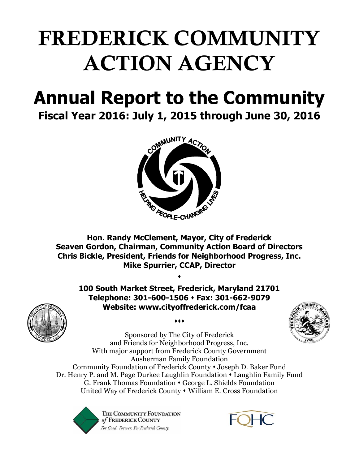## **FREDERICK COMMUNITY ACTION AGENCY**

# **Annual Report to the Community**





**Hon. Randy McClement, Mayor, City of Frederick Seaven Gordon, Chairman, Community Action Board of Directors Chris Bickle, President, Friends for Neighborhood Progress, Inc. Mike Spurrier, CCAP, Director**

**100 South Market Street, Frederick, Maryland 21701 Telephone: 301-600-1506 Fax: 301-662-9079 Website: www.cityoffrederick.com/fcaa**

 $\bullet\bullet\bullet$ 

 $\blacklozenge$ 



Sponsored by The City of Frederick and Friends for Neighborhood Progress, Inc. With major support from Frederick County Government Ausherman Family Foundation Community Foundation of Frederick County Joseph D. Baker Fund Dr. Henry P. and M. Page Durkee Laughlin Foundation Laughlin Family Fund G. Frank Thomas Foundation George L. Shields Foundation United Way of Frederick County • William E. Cross Foundation



THE COMMUNITY FOUNDATION of FREDERICK COUNTY For Good. Forever. For Frederick County.

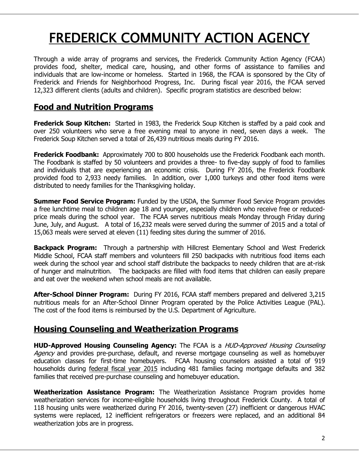### FREDERICK COMMUNITY ACTION AGENCY

Through a wide array of programs and services, the Frederick Community Action Agency (FCAA) provides food, shelter, medical care, housing, and other forms of assistance to families and individuals that are low-income or homeless. Started in 1968, the FCAA is sponsored by the City of Frederick and Friends for Neighborhood Progress, Inc. During fiscal year 2016, the FCAA served 12,323 different clients (adults and children). Specific program statistics are described below:

#### **Food and Nutrition Programs**

**Frederick Soup Kitchen:** Started in 1983, the Frederick Soup Kitchen is staffed by a paid cook and over 250 volunteers who serve a free evening meal to anyone in need, seven days a week. The Frederick Soup Kitchen served a total of 26,439 nutritious meals during FY 2016.

**Frederick Foodbank:** Approximately 700 to 800 households use the Frederick Foodbank each month. The Foodbank is staffed by 50 volunteers and provides a three- to five-day supply of food to families and individuals that are experiencing an economic crisis. During FY 2016, the Frederick Foodbank provided food to 2,933 needy families. In addition, over 1,000 turkeys and other food items were distributed to needy families for the Thanksgiving holiday.

**Summer Food Service Program:** Funded by the USDA, the Summer Food Service Program provides a free lunchtime meal to children age 18 and younger, especially children who receive free or reducedprice meals during the school year. The FCAA serves nutritious meals Monday through Friday during June, July, and August. A total of 16,232 meals were served during the summer of 2015 and a total of 15,063 meals were served at eleven (11) feeding sites during the summer of 2016.

**Backpack Program:** Through a partnership with Hillcrest Elementary School and West Frederick Middle School, FCAA staff members and volunteers fill 250 backpacks with nutritious food items each week during the school year and school staff distribute the backpacks to needy children that are at-risk of hunger and malnutrition. The backpacks are filled with food items that children can easily prepare and eat over the weekend when school meals are not available.

**After-School Dinner Program:** During FY 2016, FCAA staff members prepared and delivered 3,215 nutritious meals for an After-School Dinner Program operated by the Police Activities League (PAL). The cost of the food items is reimbursed by the U.S. Department of Agriculture.

#### **Housing Counseling and Weatherization Programs**

**HUD-Approved Housing Counseling Agency:** The FCAA is a HUD-Approved Housing Counseling Agency and provides pre-purchase, default, and reverse mortgage counseling as well as homebuyer education classes for first-time homebuyers. FCAA housing counselors assisted a total of 919 households during federal fiscal year 2015 including 481 families facing mortgage defaults and 382 families that received pre-purchase counseling and homebuyer education.

**Weatherization Assistance Program:** The Weatherization Assistance Program provides home weatherization services for income-eligible households living throughout Frederick County. A total of 118 housing units were weatherized during FY 2016, twenty-seven (27) inefficient or dangerous HVAC systems were replaced, 12 inefficient refrigerators or freezers were replaced, and an additional 84 weatherization jobs are in progress.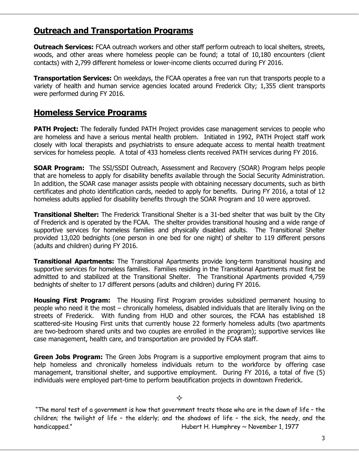#### **Outreach and Transportation Programs**

**Outreach Services:** FCAA outreach workers and other staff perform outreach to local shelters, streets, woods, and other areas where homeless people can be found; a total of 10,180 encounters (client contacts) with 2,799 different homeless or lower-income clients occurred during FY 2016.

**Transportation Services:** On weekdays, the FCAA operates a free van run that transports people to a variety of health and human service agencies located around Frederick City; 1,355 client transports were performed during FY 2016.

#### **Homeless Service Programs**

**PATH Project:** The federally funded PATH Project provides case management services to people who are homeless and have a serious mental health problem. Initiated in 1992, PATH Project staff work closely with local therapists and psychiatrists to ensure adequate access to mental health treatment services for homeless people. A total of 433 homeless clients received PATH services during FY 2016.

**SOAR Program:** The SSI/SSDI Outreach, Assessment and Recovery (SOAR) Program helps people that are homeless to apply for disability benefits available through the Social Security Administration. In addition, the SOAR case manager assists people with obtaining necessary documents, such as birth certificates and photo identification cards, needed to apply for benefits. During FY 2016, a total of 12 homeless adults applied for disability benefits through the SOAR Program and 10 were approved.

**Transitional Shelter:** The Frederick Transitional Shelter is a 31-bed shelter that was built by the City of Frederick and is operated by the FCAA. The shelter provides transitional housing and a wide range of supportive services for homeless families and physically disabled adults. The Transitional Shelter provided 13,020 bednights (one person in one bed for one night) of shelter to 119 different persons (adults and children) during FY 2016.

**Transitional Apartments:** The Transitional Apartments provide long-term transitional housing and supportive services for homeless families. Families residing in the Transitional Apartments must first be admitted to and stabilized at the Transitional Shelter. The Transitional Apartments provided 4,759 bednights of shelter to 17 different persons (adults and children) during FY 2016.

**Housing First Program:** The Housing First Program provides subsidized permanent housing to people who need it the most – chronically homeless, disabled individuals that are literally living on the streets of Frederick. With funding from HUD and other sources, the FCAA has established 18 scattered-site Housing First units that currently house 22 formerly homeless adults (two apartments are two-bedroom shared units and two couples are enrolled in the program); supportive services like case management, health care, and transportation are provided by FCAA staff.

**Green Jobs Program:** The Green Jobs Program is a supportive employment program that aims to help homeless and chronically homeless individuals return to the workforce by offering case management, transitional shelter, and supportive employment. During FY 2016, a total of five (5) individuals were employed part-time to perform beautification projects in downtown Frederick.

#### ♦

"The moral test of a government is how that government treats those who are in the dawn of life – the children; the twilight of life – the elderly; and the shadows of life – the sick, the needy, and the handicapped." 
Hubert H. Humphrey ~ November 1, 1977